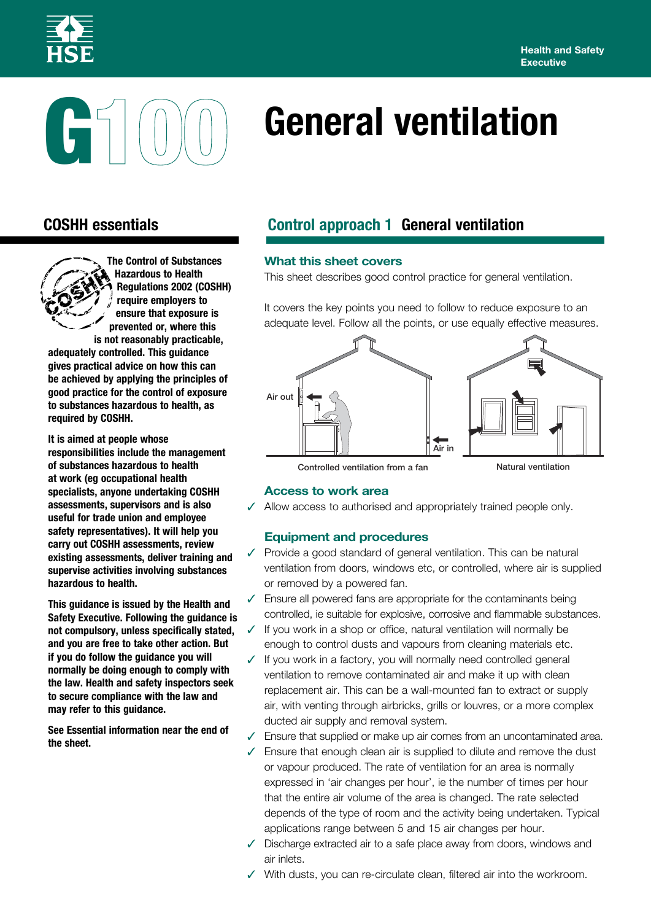



# **General ventilation**



**The Control of Substances Hazardous to Health Regulations 2002 (COSHH) require employers to ensure that exposure is prevented or, where this is not reasonably practicable,** 

**adequately controlled. This guidance gives practical advice on how this can be achieved by applying the principles of good practice for the control of exposure to substances hazardous to health, as required by COSHH.**

**It is aimed at people whose responsibilities include the management of substances hazardous to health at work (eg occupational health specialists, anyone undertaking COSHH assessments, supervisors and is also useful for trade union and employee safety representatives). It will help you carry out COSHH assessments, review existing assessments, deliver training and supervise activities involving substances hazardous to health.** 

**This guidance is issued by the Health and Safety Executive. Following the guidance is not compulsory, unless specifically stated, and you are free to take other action. But if you do follow the guidance you will normally be doing enough to comply with the law. Health and safety inspectors seek to secure compliance with the law and may refer to this guidance.**

**See Essential information near the end of the sheet.**

## **COSHH essentials Control approach 1 General ventilation**

### **What this sheet covers**

This sheet describes good control practice for general ventilation.

It covers the key points you need to follow to reduce exposure to an adequate level. Follow all the points, or use equally effective measures.



Controlled ventilation from a fan Natural ventilation

#### **Access to work area**

 $\checkmark$  Allow access to authorised and appropriately trained people only.

#### **Equipment and procedures**

- $\checkmark$  Provide a good standard of general ventilation. This can be natural ventilation from doors, windows etc, or controlled, where air is supplied or removed by a powered fan.
- $\sqrt{ }$  Ensure all powered fans are appropriate for the contaminants being controlled, ie suitable for explosive, corrosive and flammable substances.
- $\checkmark$  If you work in a shop or office, natural ventilation will normally be enough to control dusts and vapours from cleaning materials etc.
- $\checkmark$  If you work in a factory, you will normally need controlled general ventilation to remove contaminated air and make it up with clean replacement air. This can be a wall-mounted fan to extract or supply air, with venting through airbricks, grills or louvres, or a more complex ducted air supply and removal system.
- $\checkmark$  Ensure that supplied or make up air comes from an uncontaminated area.
- $\sqrt{ }$  Ensure that enough clean air is supplied to dilute and remove the dust or vapour produced. The rate of ventilation for an area is normally expressed in 'air changes per hour', ie the number of times per hour that the entire air volume of the area is changed. The rate selected depends of the type of room and the activity being undertaken. Typical applications range between 5 and 15 air changes per hour.
- $\checkmark$  Discharge extracted air to a safe place away from doors, windows and air inlets.
- $\checkmark$  With dusts, you can re-circulate clean, filtered air into the workroom.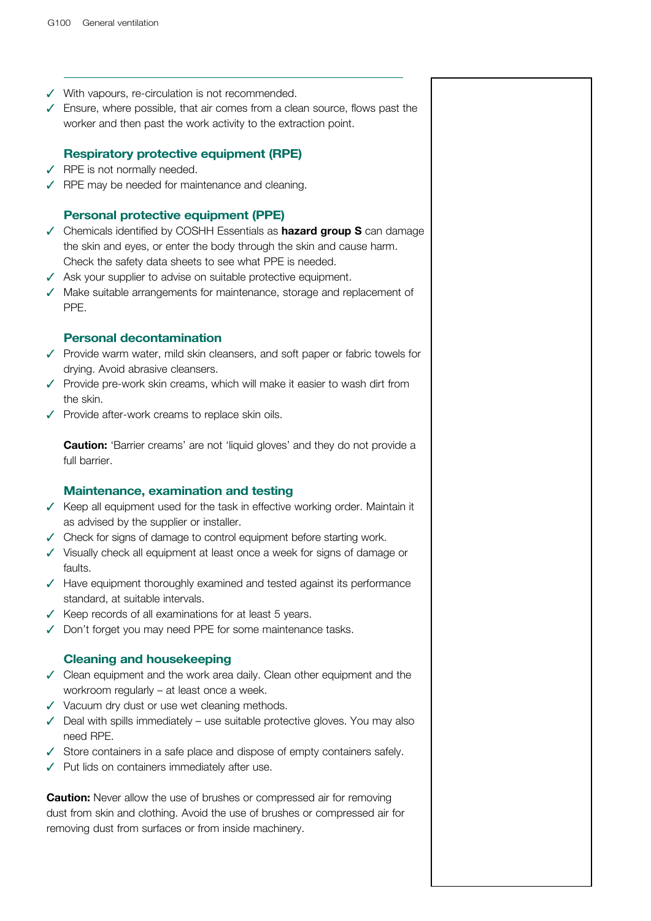- $\checkmark$  With vapours, re-circulation is not recommended.
- $\checkmark$  Ensure, where possible, that air comes from a clean source, flows past the worker and then past the work activity to the extraction point.

### **Respiratory protective equipment (RPE)**

- $\sqrt{ }$  RPE is not normally needed.
- $\sqrt{ }$  RPE may be needed for maintenance and cleaning.

#### **Personal protective equipment (PPE)**

- 3 Chemicals identified by COSHH Essentials as **hazard group S** can damage the skin and eyes, or enter the body through the skin and cause harm. Check the safety data sheets to see what PPE is needed.
- $\checkmark$  Ask your supplier to advise on suitable protective equipment.
- $\checkmark$  Make suitable arrangements for maintenance, storage and replacement of PPE.

#### **Personal decontamination**

- $\checkmark$  Provide warm water, mild skin cleansers, and soft paper or fabric towels for drying. Avoid abrasive cleansers.
- $\checkmark$  Provide pre-work skin creams, which will make it easier to wash dirt from the skin.
- $\checkmark$  Provide after-work creams to replace skin oils.

**Caution:** 'Barrier creams' are not 'liquid gloves' and they do not provide a full barrier.

#### **Maintenance, examination and testing**

- $\checkmark$  Keep all equipment used for the task in effective working order. Maintain it as advised by the supplier or installer.
- $\checkmark$  Check for signs of damage to control equipment before starting work.
- $\checkmark$  Visually check all equipment at least once a week for signs of damage or faults.
- $\sqrt{ }$  Have equipment thoroughly examined and tested against its performance standard, at suitable intervals.
- $\checkmark$  Keep records of all examinations for at least 5 years.
- $\sqrt{ }$  Don't forget you may need PPE for some maintenance tasks.

#### **Cleaning and housekeeping**

- $\checkmark$  Clean equipment and the work area daily. Clean other equipment and the workroom regularly – at least once a week.
- $\checkmark$  Vacuum dry dust or use wet cleaning methods.
- $\checkmark$  Deal with spills immediately use suitable protective gloves. You may also need RPE.
- $\checkmark$  Store containers in a safe place and dispose of empty containers safely.
- $\checkmark$  Put lids on containers immediately after use.

**Caution:** Never allow the use of brushes or compressed air for removing dust from skin and clothing. Avoid the use of brushes or compressed air for removing dust from surfaces or from inside machinery.